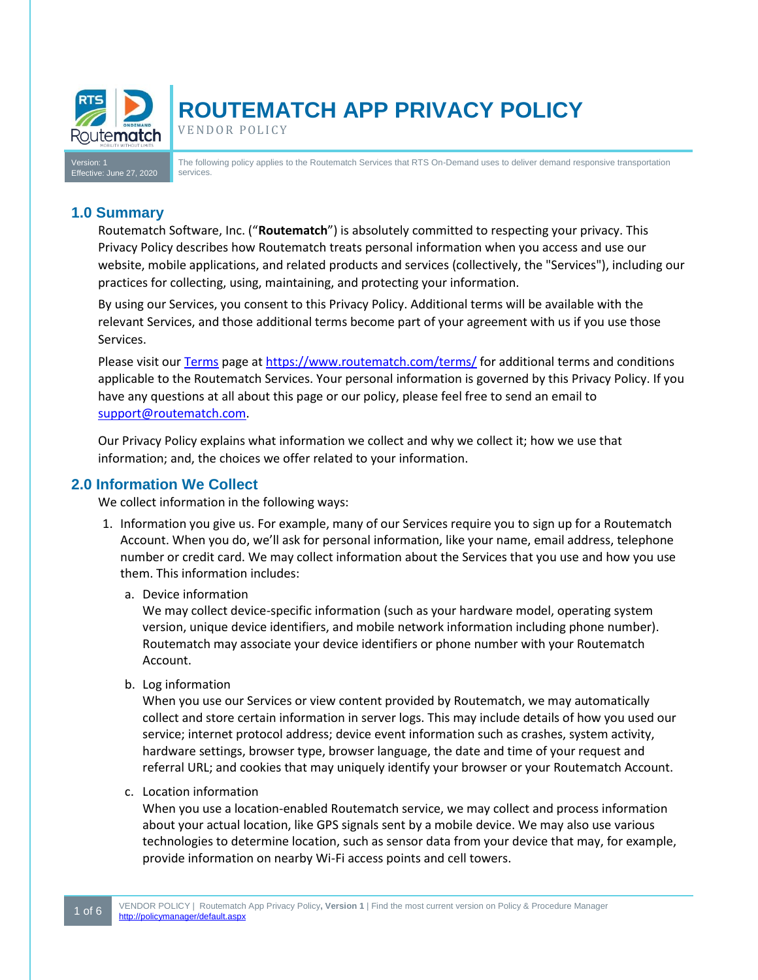

Version: 1

**ROUTEMATCH APP PRIVACY POLICY**

VENDOR POLICY

The following policy applies to the Routematch Services that RTS On-Demand uses to deliver demand responsive transportation services.

# **1.0 Summary**

Effective: June 27, 2020

Routematch Software, Inc. ("**Routematch**") is absolutely committed to respecting your privacy. This Privacy Policy describes how Routematch treats personal information when you access and use our website, mobile applications, and related products and services (collectively, the "Services"), including our practices for collecting, using, maintaining, and protecting your information.

By using our Services, you consent to this Privacy Policy. Additional terms will be available with the relevant Services, and those additional terms become part of your agreement with us if you use those Services.

Please visit our [Terms](https://www.routematch.com/terms/) page a[t https://www.routematch.com/terms/](https://www.routematch.com/terms/) for additional terms and conditions applicable to the Routematch Services. Your personal information is governed by this Privacy Policy. If you have any questions at all about this page or our policy, please feel free to send an email to [support@routematch.com.](mailto:support@routematch.com)

Our Privacy Policy explains what information we collect and why we collect it; how we use that information; and, the choices we offer related to your information.

# **2.0 Information We Collect**

We collect information in the following ways:

- 1. Information you give us. For example, many of our Services require you to sign up for a Routematch Account. When you do, we'll ask for personal information, like your name, email address, telephone number or credit card. We may collect information about the Services that you use and how you use them. This information includes:
	- a. Device information

We may collect device-specific information (such as your hardware model, operating system version, unique device identifiers, and mobile network information including phone number). Routematch may associate your device identifiers or phone number with your Routematch Account.

b. Log information

When you use our Services or view content provided by Routematch, we may automatically collect and store certain information in server logs. This may include details of how you used our service; internet protocol address; device event information such as crashes, system activity, hardware settings, browser type, browser language, the date and time of your request and referral URL; and cookies that may uniquely identify your browser or your Routematch Account.

c. Location information

When you use a location-enabled Routematch service, we may collect and process information about your actual location, like GPS signals sent by a mobile device. We may also use various technologies to determine location, such as sensor data from your device that may, for example, provide information on nearby Wi-Fi access points and cell towers.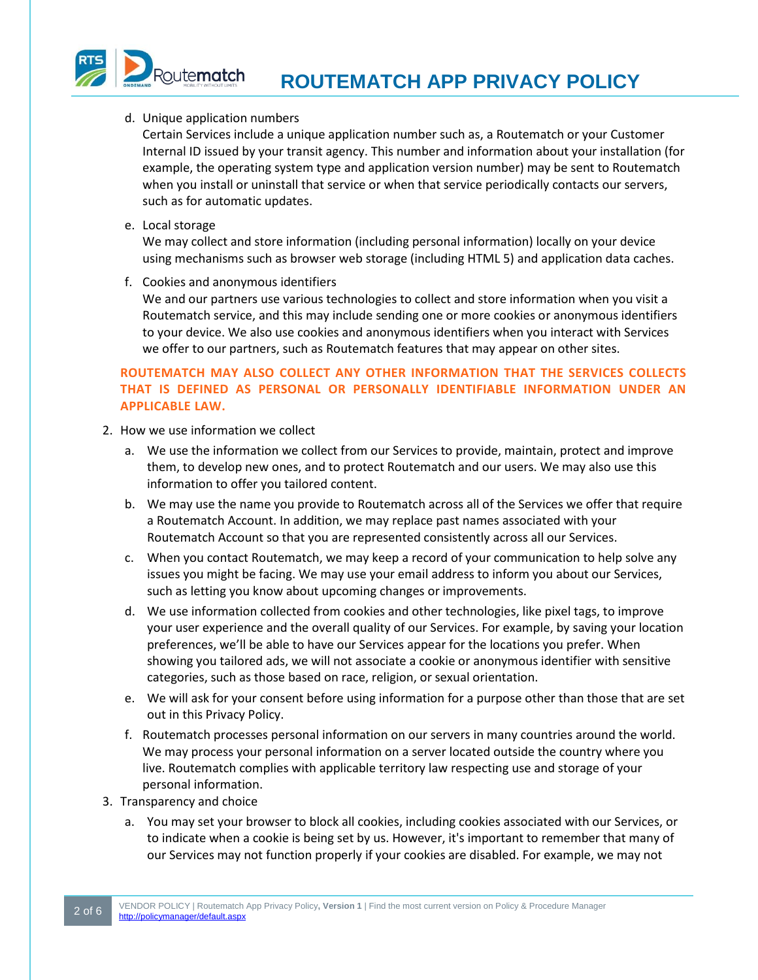# **ROUTEMATCH APP PRIVACY POLICY**

#### d. Unique application numbers

Routematch

Certain Services include a unique application number such as, a Routematch or your Customer Internal ID issued by your transit agency. This number and information about your installation (for example, the operating system type and application version number) may be sent to Routematch when you install or uninstall that service or when that service periodically contacts our servers, such as for automatic updates.

e. Local storage

We may collect and store information (including personal information) locally on your device using mechanisms such as browser web storage (including HTML 5) and application data caches.

f. Cookies and anonymous identifiers

We and our partners use various technologies to collect and store information when you visit a Routematch service, and this may include sending one or more cookies or anonymous identifiers to your device. We also use cookies and anonymous identifiers when you interact with Services we offer to our partners, such as Routematch features that may appear on other sites.

## **ROUTEMATCH MAY ALSO COLLECT ANY OTHER INFORMATION THAT THE SERVICES COLLECTS THAT IS DEFINED AS PERSONAL OR PERSONALLY IDENTIFIABLE INFORMATION UNDER AN APPLICABLE LAW.**

- 2. How we use information we collect
	- a. We use the information we collect from our Services to provide, maintain, protect and improve them, to develop new ones, and to protect Routematch and our users. We may also use this information to offer you tailored content.
	- b. We may use the name you provide to Routematch across all of the Services we offer that require a Routematch Account. In addition, we may replace past names associated with your Routematch Account so that you are represented consistently across all our Services.
	- c. When you contact Routematch, we may keep a record of your communication to help solve any issues you might be facing. We may use your email address to inform you about our Services, such as letting you know about upcoming changes or improvements.
	- d. We use information collected from cookies and other technologies, like pixel tags, to improve your user experience and the overall quality of our Services. For example, by saving your location preferences, we'll be able to have our Services appear for the locations you prefer. When showing you tailored ads, we will not associate a cookie or anonymous identifier with sensitive categories, such as those based on race, religion, or sexual orientation.
	- e. We will ask for your consent before using information for a purpose other than those that are set out in this Privacy Policy.
	- f. Routematch processes personal information on our servers in many countries around the world. We may process your personal information on a server located outside the country where you live. Routematch complies with applicable territory law respecting use and storage of your personal information.
- 3. Transparency and choice
	- a. You may set your browser to block all cookies, including cookies associated with our Services, or to indicate when a cookie is being set by us. However, it's important to remember that many of our Services may not function properly if your cookies are disabled. For example, we may not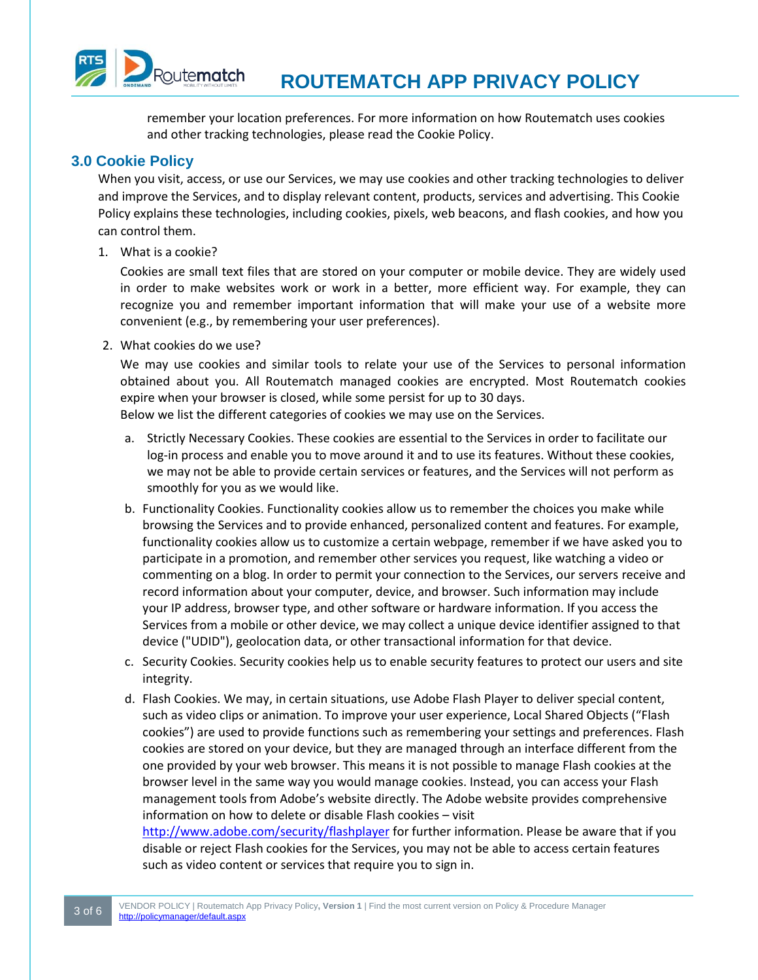

remember your location preferences. For more information on how Routematch uses cookies and other tracking technologies, please read the Cookie Policy.

### **3.0 Cookie Policy**

When you visit, access, or use our Services, we may use cookies and other tracking technologies to deliver and improve the Services, and to display relevant content, products, services and advertising. This Cookie Policy explains these technologies, including cookies, pixels, web beacons, and flash cookies, and how you can control them.

1. What is a cookie?

Cookies are small text files that are stored on your computer or mobile device. They are widely used in order to make websites work or work in a better, more efficient way. For example, they can recognize you and remember important information that will make your use of a website more convenient (e.g., by remembering your user preferences).

2. What cookies do we use?

We may use cookies and similar tools to relate your use of the Services to personal information obtained about you. All Routematch managed cookies are encrypted. Most Routematch cookies expire when your browser is closed, while some persist for up to 30 days.

Below we list the different categories of cookies we may use on the Services.

- a. Strictly Necessary Cookies. These cookies are essential to the Services in order to facilitate our log-in process and enable you to move around it and to use its features. Without these cookies, we may not be able to provide certain services or features, and the Services will not perform as smoothly for you as we would like.
- b. Functionality Cookies. Functionality cookies allow us to remember the choices you make while browsing the Services and to provide enhanced, personalized content and features. For example, functionality cookies allow us to customize a certain webpage, remember if we have asked you to participate in a promotion, and remember other services you request, like watching a video or commenting on a blog. In order to permit your connection to the Services, our servers receive and record information about your computer, device, and browser. Such information may include your IP address, browser type, and other software or hardware information. If you access the Services from a mobile or other device, we may collect a unique device identifier assigned to that device ("UDID"), geolocation data, or other transactional information for that device.
- c. Security Cookies. Security cookies help us to enable security features to protect our users and site integrity.
- d. Flash Cookies. We may, in certain situations, use Adobe Flash Player to deliver special content, such as video clips or animation. To improve your user experience, Local Shared Objects ("Flash cookies") are used to provide functions such as remembering your settings and preferences. Flash cookies are stored on your device, but they are managed through an interface different from the one provided by your web browser. This means it is not possible to manage Flash cookies at the browser level in the same way you would manage cookies. Instead, you can access your Flash management tools from Adobe's website directly. The Adobe website provides comprehensive information on how to delete or disable Flash cookies – visit

<http://www.adobe.com/security/flashplayer> for further information. Please be aware that if you disable or reject Flash cookies for the Services, you may not be able to access certain features such as video content or services that require you to sign in.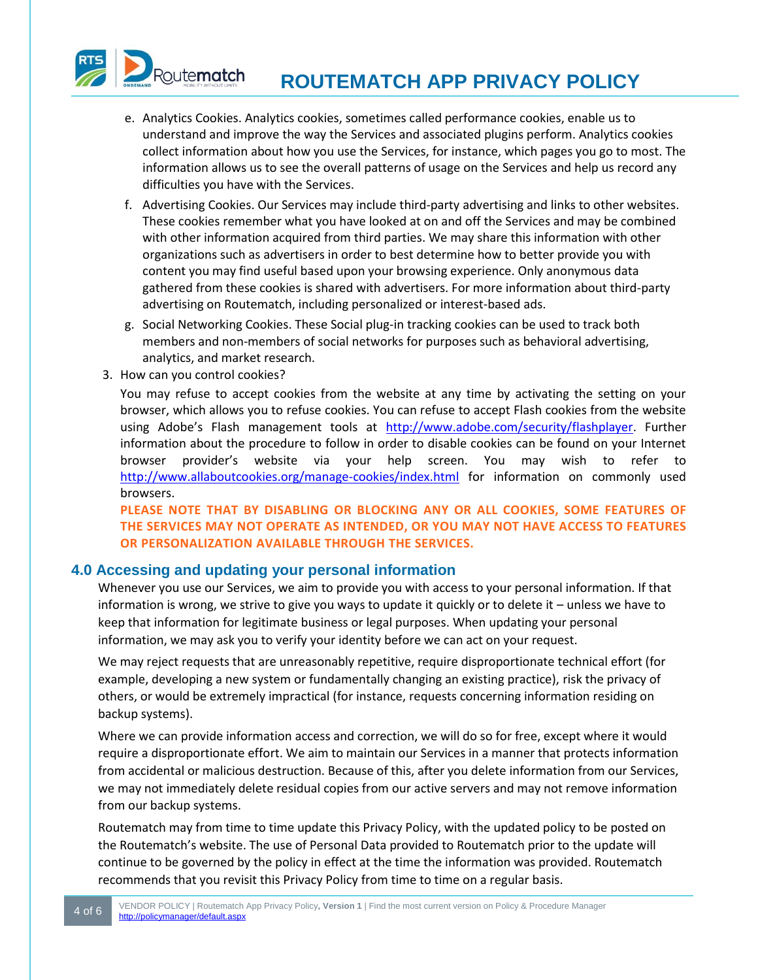# **ROUTEMATCH APP PRIVACY POLICY**

- e. Analytics Cookies. Analytics cookies, sometimes called performance cookies, enable us to understand and improve the way the Services and associated plugins perform. Analytics cookies collect information about how you use the Services, for instance, which pages you go to most. The information allows us to see the overall patterns of usage on the Services and help us record any difficulties you have with the Services.
- f. Advertising Cookies. Our Services may include third-party advertising and links to other websites. These cookies remember what you have looked at on and off the Services and may be combined with other information acquired from third parties. We may share this information with other organizations such as advertisers in order to best determine how to better provide you with content you may find useful based upon your browsing experience. Only anonymous data gathered from these cookies is shared with advertisers. For more information about third-party advertising on Routematch, including personalized or interest-based ads.
- g. Social Networking Cookies. These Social plug-in tracking cookies can be used to track both members and non-members of social networks for purposes such as behavioral advertising, analytics, and market research.
- 3. How can you control cookies?

Routematch

You may refuse to accept cookies from the website at any time by activating the setting on your browser, which allows you to refuse cookies. You can refuse to accept Flash cookies from the website using Adobe's Flash management tools at [http://www.adobe.com/security/flashplayer.](http://www.adobe.com/security/flashplayer) Further information about the procedure to follow in order to disable cookies can be found on your Internet browser provider's website via your help screen. You may wish to refer to <http://www.allaboutcookies.org/manage-cookies/index.html> for information on commonly used browsers.

**PLEASE NOTE THAT BY DISABLING OR BLOCKING ANY OR ALL COOKIES, SOME FEATURES OF THE SERVICES MAY NOT OPERATE AS INTENDED, OR YOU MAY NOT HAVE ACCESS TO FEATURES OR PERSONALIZATION AVAILABLE THROUGH THE SERVICES.**

# **4.0 Accessing and updating your personal information**

Whenever you use our Services, we aim to provide you with access to your personal information. If that information is wrong, we strive to give you ways to update it quickly or to delete it – unless we have to keep that information for legitimate business or legal purposes. When updating your personal information, we may ask you to verify your identity before we can act on your request.

We may reject requests that are unreasonably repetitive, require disproportionate technical effort (for example, developing a new system or fundamentally changing an existing practice), risk the privacy of others, or would be extremely impractical (for instance, requests concerning information residing on backup systems).

Where we can provide information access and correction, we will do so for free, except where it would require a disproportionate effort. We aim to maintain our Services in a manner that protects information from accidental or malicious destruction. Because of this, after you delete information from our Services, we may not immediately delete residual copies from our active servers and may not remove information from our backup systems.

Routematch may from time to time update this Privacy Policy, with the updated policy to be posted on the Routematch's website. The use of Personal Data provided to Routematch prior to the update will continue to be governed by the policy in effect at the time the information was provided. Routematch recommends that you revisit this Privacy Policy from time to time on a regular basis.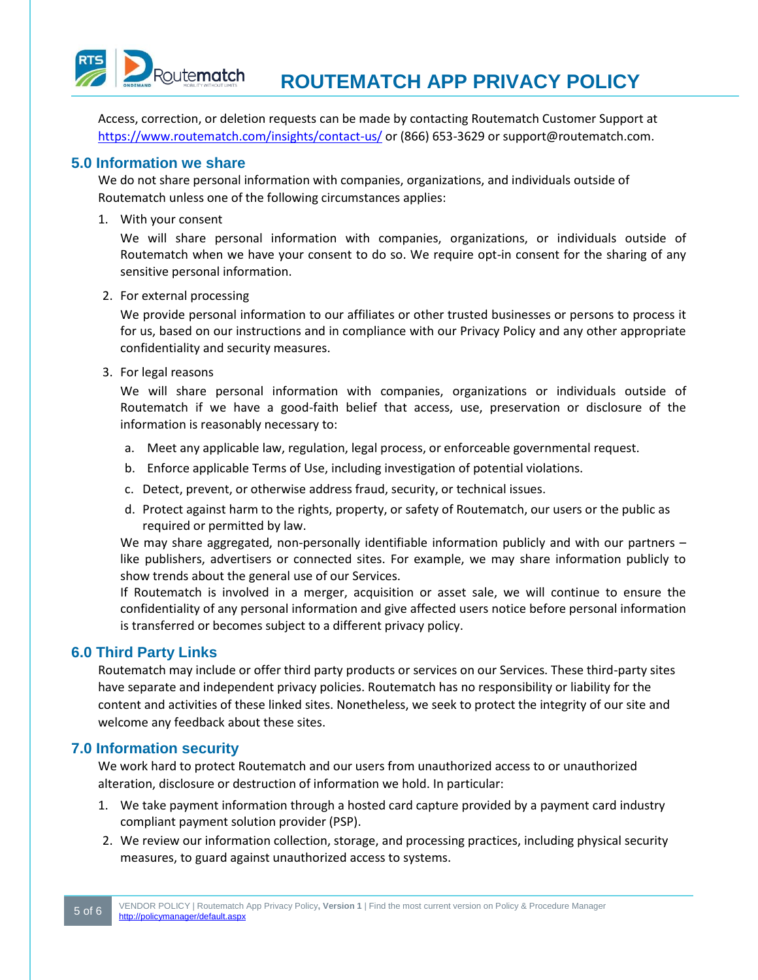

Access, correction, or deletion requests can be made by contacting Routematch Customer Support at <https://www.routematch.com/insights/contact-us/> or (866) 653-3629 or [support@routematch.com.](mailto:support@routematch.com)

## **5.0 Information we share**

We do not share personal information with companies, organizations, and individuals outside of Routematch unless one of the following circumstances applies:

1. With your consent

We will share personal information with companies, organizations, or individuals outside of Routematch when we have your consent to do so. We require opt-in consent for the sharing of any sensitive personal information.

2. For external processing

We provide personal information to our affiliates or other trusted businesses or persons to process it for us, based on our instructions and in compliance with our Privacy Policy and any other appropriate confidentiality and security measures.

3. For legal reasons

We will share personal information with companies, organizations or individuals outside of Routematch if we have a good-faith belief that access, use, preservation or disclosure of the information is reasonably necessary to:

- a. Meet any applicable law, regulation, legal process, or enforceable governmental request.
- b. Enforce applicable Terms of Use, including investigation of potential violations.
- c. Detect, prevent, or otherwise address fraud, security, or technical issues.
- d. Protect against harm to the rights, property, or safety of Routematch, our users or the public as required or permitted by law.

We may share aggregated, non-personally identifiable information publicly and with our partners – like publishers, advertisers or connected sites. For example, we may share information publicly to show trends about the general use of our Services.

If Routematch is involved in a merger, acquisition or asset sale, we will continue to ensure the confidentiality of any personal information and give affected users notice before personal information is transferred or becomes subject to a different privacy policy.

# **6.0 Third Party Links**

Routematch may include or offer third party products or services on our Services. These third-party sites have separate and independent privacy policies. Routematch has no responsibility or liability for the content and activities of these linked sites. Nonetheless, we seek to protect the integrity of our site and welcome any feedback about these sites.

# **7.0 Information security**

We work hard to protect Routematch and our users from unauthorized access to or unauthorized alteration, disclosure or destruction of information we hold. In particular:

- 1. We take payment information through a hosted card capture provided by a payment card industry compliant payment solution provider (PSP).
- 2. We review our information collection, storage, and processing practices, including physical security measures, to guard against unauthorized access to systems.